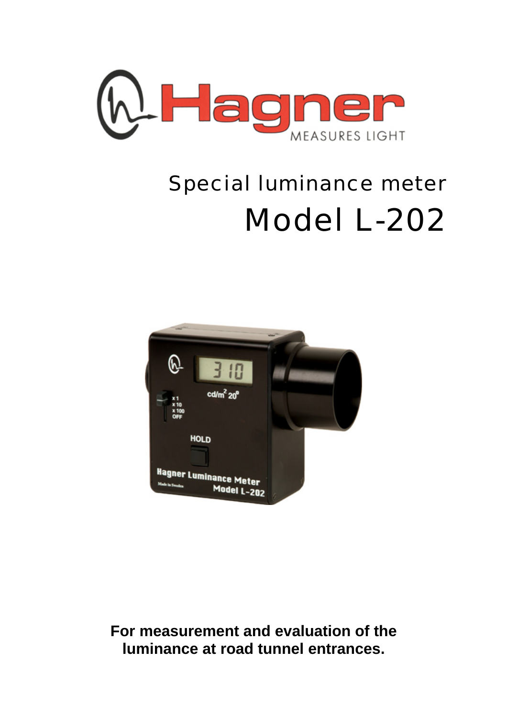

# Special luminance meter Model L-202



**For measurement and evaluation of the luminance at road tunnel entrances.**